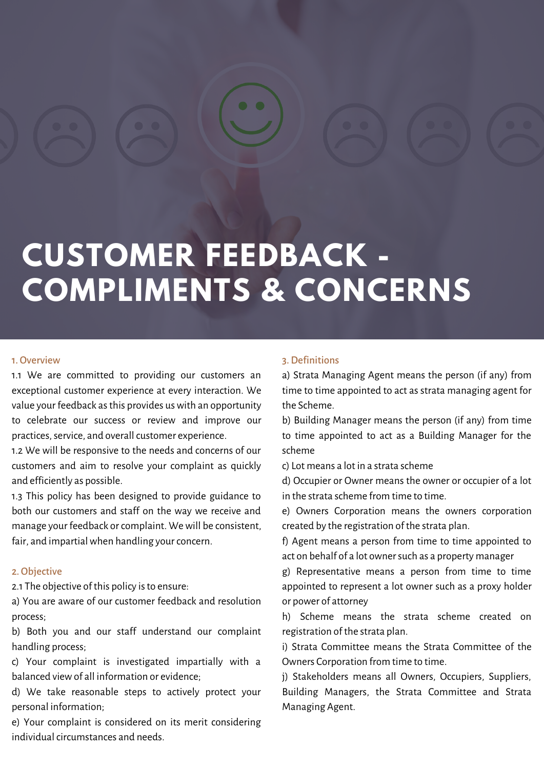# **CUSTOMER FEEDBACK - COMPLIMENTS & CONCERNS**

#### 1. Overview

1.1 We are committed to providing our customers an exceptional customer experience at every interaction. We value your feedback as this provides us with an opportunity to celebrate our success or review and improve our practices, service, and overall customer experience.

1.2 We will be responsive to the needs and concerns of our customers and aim to resolve your complaint as quickly and efficiently as possible.

1.3 This policy has been designed to provide guidance to both our customers and staff on the way we receive and manage your feedback or complaint. We will be consistent, fair, and impartial when handling your concern.

#### 2. Objective

2.1 The objective of this policy is to ensure:

a) You are aware of our customer feedback and resolution process;

b) Both you and our staff understand our complaint handling process;

c) Your complaint is investigated impartially with a balanced viewof all information or evidence;

d) We take reasonable steps to actively protect your personal information;

e) Your complaint is considered on its merit considering individual circumstances and needs.

#### 3.Definitions

a) Strata Managing Agent means the person (if any) from time to time appointed to act as strata managing agent for the Scheme.

b) Building Manager means the person (if any) from time to time appointed to act as a Building Manager for the scheme

c) Lot means a lot in a strata scheme

d) Occupier or Owner means the owner or occupier of a lot in the strata scheme from time to time.

e) Owners Corporation means the owners corporation created by the registration of the strata plan.

f) Agent means a person from time to time appointed to act on behalf of a lot ownersuch as a property manager

g) Representative means a person from time to time appointed to represent a lot owner such as a proxy holder or power of attorney

h) Scheme means the strata scheme created on registration of the strata plan.

i) Strata Committee means the Strata Committee of the Owners Corporation from time to time.

j) Stakeholders means all Owners, Occupiers, Suppliers, Building Managers, the Strata Committee and Strata Managing Agent.